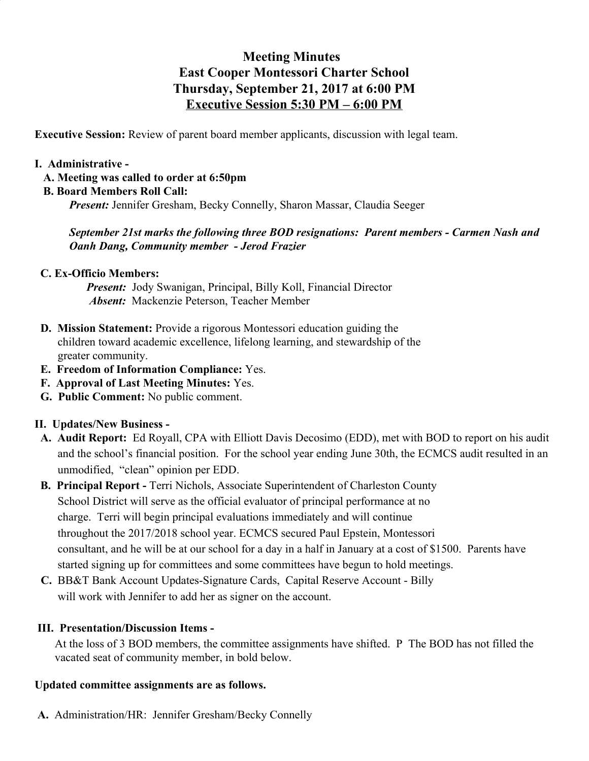# **Meeting Minutes East Cooper Montessori Charter School Thursday, September 21, 2017 at 6:00 PM Executive Session 5:30 PM – 6:00 PM**

**Executive Session:** Review of parent board member applicants, discussion with legal team.

#### **I. Administrative -**

#### **A. Meeting was called to order at 6:50pm**

 **B. Board Members Roll Call:**

*Present: Jennifer Gresham, Becky Connelly, Sharon Massar, Claudia Seeger* 

## *September 21st marks the following three BOD resignations: Parent members - Carmen Nash and Oanh Dang, Community member - Jerod Frazier*

## **C. Ex-Officio Members:**

*Present:* Jody Swanigan, Principal, Billy Koll, Financial Director *Absent:* Mackenzie Peterson, Teacher Member

- **D. Mission Statement:** Provide a rigorous Montessori education guiding the children toward academic excellence, lifelong learning, and stewardship of the greater community.
- **E. Freedom of Information Compliance:** Yes.
- **F. Approval of Last Meeting Minutes:** Yes.
- **G. Public Comment:** No public comment.

## **II. Updates/New Business -**

- **A. Audit Report:** Ed Royall, CPA with Elliott Davis Decosimo (EDD), met with BOD to report on his audit and the school's financial position. For the school year ending June 30th, the ECMCS audit resulted in an unmodified, "clean" opinion per EDD.
- **B. Principal Report -** Terri Nichols, Associate Superintendent of Charleston County School District will serve as the official evaluator of principal performance at no charge. Terri will begin principal evaluations immediately and will continue throughout the 2017/2018 school year. ECMCS secured Paul Epstein, Montessori consultant, and he will be at our school for a day in a half in January at a cost of \$1500. Parents have started signing up for committees and some committees have begun to hold meetings.
- **C.** BB&T Bank Account Updates-Signature Cards, Capital Reserve Account Billy will work with Jennifer to add her as signer on the account.

## **III. Presentation/Discussion Items -**

 At the loss of 3 BOD members, the committee assignments have shifted. P The BOD has not filled the vacated seat of community member, in bold below.

#### **Updated committee assignments are as follows.**

**A.** Administration/HR: Jennifer Gresham/Becky Connelly